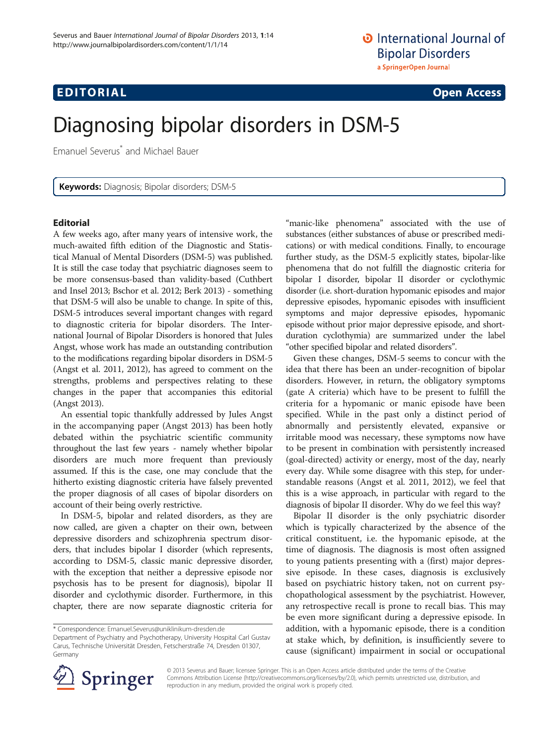## **EDITORIAL** CONTROL CONTROL CONTROL CONTROL CONTROL CONTROL CONTROL CONTROL CONTROL CONTROL CONTROL CONTROL CONTROL CONTROL CONTROL CONTROL CONTROL CONTROL CONTROL CONTROL CONTROL CONTROL CONTROL CONTROL CONTROL CONTROL CO

# Diagnosing bipolar disorders in DSM-5

Emanuel Severus\* and Michael Bauer

Keywords: Diagnosis; Bipolar disorders; DSM-5

### Editorial

A few weeks ago, after many years of intensive work, the much-awaited fifth edition of the Diagnostic and Statistical Manual of Mental Disorders (DSM-5) was published. It is still the case today that psychiatric diagnoses seem to be more consensus-based than validity-based (Cuthbert and Insel [2013](#page-2-0); Bschor et al. [2012](#page-2-0); Berk [2013\)](#page-2-0) - something that DSM-5 will also be unable to change. In spite of this, DSM-5 introduces several important changes with regard to diagnostic criteria for bipolar disorders. The International Journal of Bipolar Disorders is honored that Jules Angst, whose work has made an outstanding contribution to the modifications regarding bipolar disorders in DSM-5 (Angst et al. [2011, 2012\)](#page-2-0), has agreed to comment on the strengths, problems and perspectives relating to these changes in the paper that accompanies this editorial (Angst [2013](#page-2-0)).

An essential topic thankfully addressed by Jules Angst in the accompanying paper (Angst [2013](#page-2-0)) has been hotly debated within the psychiatric scientific community throughout the last few years - namely whether bipolar disorders are much more frequent than previously assumed. If this is the case, one may conclude that the hitherto existing diagnostic criteria have falsely prevented the proper diagnosis of all cases of bipolar disorders on account of their being overly restrictive.

In DSM-5, bipolar and related disorders, as they are now called, are given a chapter on their own, between depressive disorders and schizophrenia spectrum disorders, that includes bipolar I disorder (which represents, according to DSM-5, classic manic depressive disorder, with the exception that neither a depressive episode nor psychosis has to be present for diagnosis), bipolar II disorder and cyclothymic disorder. Furthermore, in this chapter, there are now separate diagnostic criteria for "manic-like phenomena" associated with the use of substances (either substances of abuse or prescribed medications) or with medical conditions. Finally, to encourage further study, as the DSM-5 explicitly states, bipolar-like phenomena that do not fulfill the diagnostic criteria for bipolar I disorder, bipolar II disorder or cyclothymic disorder (i.e. short-duration hypomanic episodes and major depressive episodes, hypomanic episodes with insufficient symptoms and major depressive episodes, hypomanic episode without prior major depressive episode, and shortduration cyclothymia) are summarized under the label "other specified bipolar and related disorders".

Given these changes, DSM-5 seems to concur with the idea that there has been an under-recognition of bipolar disorders. However, in return, the obligatory symptoms (gate A criteria) which have to be present to fulfill the criteria for a hypomanic or manic episode have been specified. While in the past only a distinct period of abnormally and persistently elevated, expansive or irritable mood was necessary, these symptoms now have to be present in combination with persistently increased (goal-directed) activity or energy, most of the day, nearly every day. While some disagree with this step, for understandable reasons (Angst et al. [2011](#page-2-0), [2012](#page-2-0)), we feel that this is a wise approach, in particular with regard to the diagnosis of bipolar II disorder. Why do we feel this way?

Bipolar II disorder is the only psychiatric disorder which is typically characterized by the absence of the critical constituent, i.e. the hypomanic episode, at the time of diagnosis. The diagnosis is most often assigned to young patients presenting with a (first) major depressive episode. In these cases, diagnosis is exclusively based on psychiatric history taken, not on current psychopathological assessment by the psychiatrist. However, any retrospective recall is prone to recall bias. This may be even more significant during a depressive episode. In addition, with a hypomanic episode, there is a condition at stake which, by definition, is insufficiently severe to cause (significant) impairment in social or occupational



© 2013 Severus and Bauer; licensee Springer. This is an Open Access article distributed under the terms of the Creative Commons Attribution License (<http://creativecommons.org/licenses/by/2.0>), which permits unrestricted use, distribution, and reproduction in any medium, provided the original work is properly cited.

<sup>\*</sup> Correspondence: [Emanuel.Severus@uniklinikum-dresden.de](mailto:Emanuel.Severus@uniklinikum-dresden.de)

Department of Psychiatry and Psychotherapy, University Hospital Carl Gustav Carus, Technische Universität Dresden, Fetscherstraße 74, Dresden 01307, Germany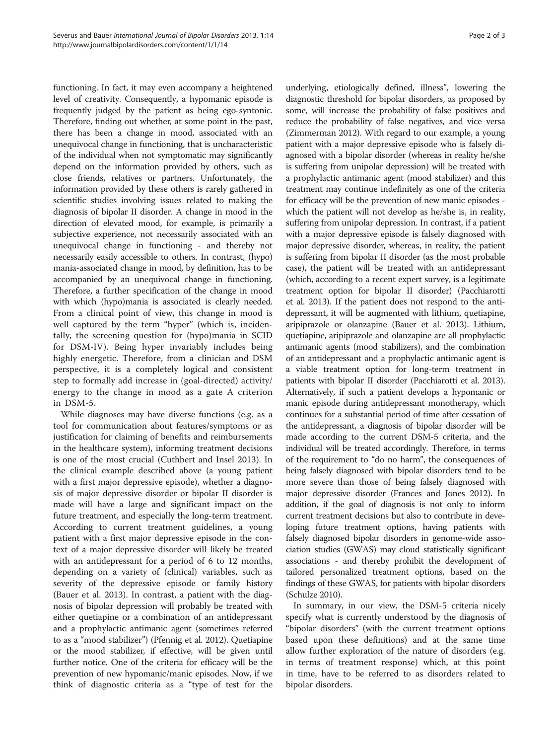functioning. In fact, it may even accompany a heightened level of creativity. Consequently, a hypomanic episode is frequently judged by the patient as being ego-syntonic. Therefore, finding out whether, at some point in the past, there has been a change in mood, associated with an unequivocal change in functioning, that is uncharacteristic of the individual when not symptomatic may significantly depend on the information provided by others, such as close friends, relatives or partners. Unfortunately, the information provided by these others is rarely gathered in scientific studies involving issues related to making the diagnosis of bipolar II disorder. A change in mood in the direction of elevated mood, for example, is primarily a subjective experience, not necessarily associated with an unequivocal change in functioning - and thereby not necessarily easily accessible to others. In contrast, (hypo) mania-associated change in mood, by definition, has to be accompanied by an unequivocal change in functioning. Therefore, a further specification of the change in mood with which (hypo)mania is associated is clearly needed. From a clinical point of view, this change in mood is well captured by the term "hyper" (which is, incidentally, the screening question for (hypo)mania in SCID for DSM-IV). Being hyper invariably includes being highly energetic. Therefore, from a clinician and DSM perspective, it is a completely logical and consistent step to formally add increase in (goal-directed) activity/ energy to the change in mood as a gate A criterion in DSM-5.

While diagnoses may have diverse functions (e.g. as a tool for communication about features/symptoms or as justification for claiming of benefits and reimbursements in the healthcare system), informing treatment decisions is one of the most crucial (Cuthbert and Insel [2013\)](#page-2-0). In the clinical example described above (a young patient with a first major depressive episode), whether a diagnosis of major depressive disorder or bipolar II disorder is made will have a large and significant impact on the future treatment, and especially the long-term treatment. According to current treatment guidelines, a young patient with a first major depressive episode in the context of a major depressive disorder will likely be treated with an antidepressant for a period of 6 to 12 months, depending on a variety of (clinical) variables, such as severity of the depressive episode or family history (Bauer et al. [2013](#page-2-0)). In contrast, a patient with the diagnosis of bipolar depression will probably be treated with either quetiapine or a combination of an antidepressant and a prophylactic antimanic agent (sometimes referred to as a "mood stabilizer") (Pfennig et al. [2012](#page-2-0)). Quetiapine or the mood stabilizer, if effective, will be given until further notice. One of the criteria for efficacy will be the prevention of new hypomanic/manic episodes. Now, if we think of diagnostic criteria as a "type of test for the

underlying, etiologically defined, illness", lowering the diagnostic threshold for bipolar disorders, as proposed by some, will increase the probability of false positives and reduce the probability of false negatives, and vice versa (Zimmerman [2012](#page-2-0)). With regard to our example, a young patient with a major depressive episode who is falsely diagnosed with a bipolar disorder (whereas in reality he/she is suffering from unipolar depression) will be treated with a prophylactic antimanic agent (mood stabilizer) and this treatment may continue indefinitely as one of the criteria for efficacy will be the prevention of new manic episodes which the patient will not develop as he/she is, in reality, suffering from unipolar depression. In contrast, if a patient with a major depressive episode is falsely diagnosed with major depressive disorder, whereas, in reality, the patient is suffering from bipolar II disorder (as the most probable case), the patient will be treated with an antidepressant (which, according to a recent expert survey, is a legitimate treatment option for bipolar II disorder) (Pacchiarotti et al. [2013](#page-2-0)). If the patient does not respond to the antidepressant, it will be augmented with lithium, quetiapine, aripiprazole or olanzapine (Bauer et al. [2013\)](#page-2-0). Lithium, quetiapine, aripiprazole and olanzapine are all prophylactic antimanic agents (mood stabilizers), and the combination of an antidepressant and a prophylactic antimanic agent is a viable treatment option for long-term treatment in patients with bipolar II disorder (Pacchiarotti et al. [2013](#page-2-0)). Alternatively, if such a patient develops a hypomanic or manic episode during antidepressant monotherapy, which continues for a substantial period of time after cessation of the antidepressant, a diagnosis of bipolar disorder will be made according to the current DSM-5 criteria, and the individual will be treated accordingly. Therefore, in terms of the requirement to "do no harm", the consequences of being falsely diagnosed with bipolar disorders tend to be more severe than those of being falsely diagnosed with major depressive disorder (Frances and Jones [2012\)](#page-2-0). In addition, if the goal of diagnosis is not only to inform current treatment decisions but also to contribute in developing future treatment options, having patients with falsely diagnosed bipolar disorders in genome-wide association studies (GWAS) may cloud statistically significant associations - and thereby prohibit the development of tailored personalized treatment options, based on the findings of these GWAS, for patients with bipolar disorders (Schulze [2010\)](#page-2-0).

In summary, in our view, the DSM-5 criteria nicely specify what is currently understood by the diagnosis of "bipolar disorders" (with the current treatment options based upon these definitions) and at the same time allow further exploration of the nature of disorders (e.g. in terms of treatment response) which, at this point in time, have to be referred to as disorders related to bipolar disorders.